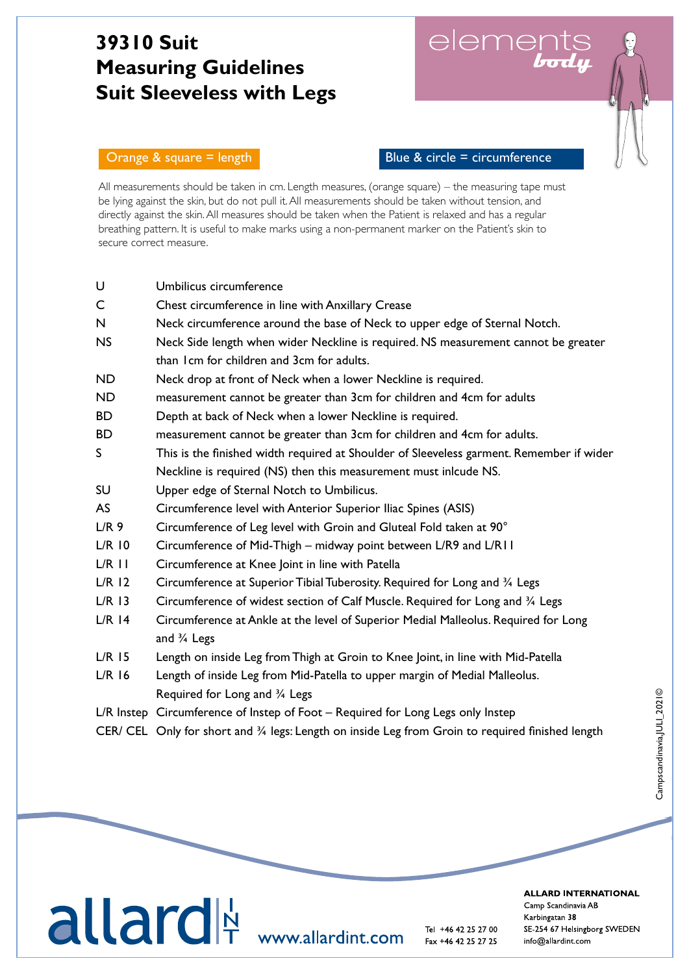## **39310 Suit Measuring Guidelines Suit Sleeveless with Legs**

elements



Γ

Orange  $\&$  square = length  $\qquad$  Blue  $\&$  circle = circumference

All measurements should be taken in cm. Length measures, (orange square) – the measuring tape must be lying against the skin, but do not pull it. All measurements should be taken without tension, and directly against the skin. All measures should be taken when the Patient is relaxed and has a regular breathing pattern. It is useful to make marks using a non-permanent marker on the Patient's skin to secure correct measure.

| U                | Umbilicus circumference                                                                           |
|------------------|---------------------------------------------------------------------------------------------------|
| C                | Chest circumference in line with Anxillary Crease                                                 |
| N                | Neck circumference around the base of Neck to upper edge of Sternal Notch.                        |
| <b>NS</b>        | Neck Side length when wider Neckline is required. NS measurement cannot be greater                |
|                  | than I cm for children and 3cm for adults.                                                        |
| <b>ND</b>        | Neck drop at front of Neck when a lower Neckline is required.                                     |
| <b>ND</b>        | measurement cannot be greater than 3cm for children and 4cm for adults                            |
| <b>BD</b>        | Depth at back of Neck when a lower Neckline is required.                                          |
| <b>BD</b>        | measurement cannot be greater than 3cm for children and 4cm for adults.                           |
| S                | This is the finished width required at Shoulder of Sleeveless garment. Remember if wider          |
|                  | Neckline is required (NS) then this measurement must inlcude NS.                                  |
| SU               | Upper edge of Sternal Notch to Umbilicus.                                                         |
| <b>AS</b>        | Circumference level with Anterior Superior Iliac Spines (ASIS)                                    |
| L/R <sub>9</sub> | Circumference of Leg level with Groin and Gluteal Fold taken at 90°                               |
| $L/R$ 10         | Circumference of Mid-Thigh - midway point between L/R9 and L/R11                                  |
| $L/R$ $l$ $l$    | Circumference at Knee Joint in line with Patella                                                  |
| $L/R$ 12         | Circumference at Superior Tibial Tuberosity. Required for Long and 3/4 Legs                       |
| $L/R$ 13         | Circumference of widest section of Calf Muscle. Required for Long and 3/4 Legs                    |
| $L/R$ 14         | Circumference at Ankle at the level of Superior Medial Malleolus. Required for Long               |
|                  | and $\frac{3}{4}$ Legs                                                                            |
| $L/R$ 15         | Length on inside Leg from Thigh at Groin to Knee Joint, in line with Mid-Patella                  |
| $L/R$ 16         | Length of inside Leg from Mid-Patella to upper margin of Medial Malleolus.                        |
|                  | Required for Long and 3/4 Legs                                                                    |
|                  | L/R Instep Circumference of Instep of Foot – Required for Long Legs only Instep                   |
|                  | CER/ CEL Only for short and 3/4 legs: Length on inside Leg from Groin to required finished length |



 $\frac{1}{2}$  into  $\frac{1}{2}$  into  $\frac{1}{2}$  and  $\frac{1}{2}$  into  $\frac{1}{2}$  into  $\frac{1}{2}$  into  $\frac{1}{2}$  into  $\frac{1}{2}$  into  $\frac{1}{2}$  into  $\frac{1}{2}$  into  $\frac{1}{2}$  into  $\frac{1}{2}$  into  $\frac{1}{2}$  into  $\frac{1}{2}$  into  $\frac{1}{2}$  in

**ALLARD INTERNATIONAL**  $\sim$  SVERIGE DANMARK FINLAND NORGET DANMARK FINLAND NORGET DANMARK FINLAND NORGET DANMARK FINLAND NORGET DANMARK FINLAND NORGET DANMARK FINLAND NORGET DANMARK FINLAND NORGET DANMARK FINLAND NORGET DANMARK FINLAND NORGET D 042-25 27 00 43 96 66 99 09-350 76 30 23 23 31 20